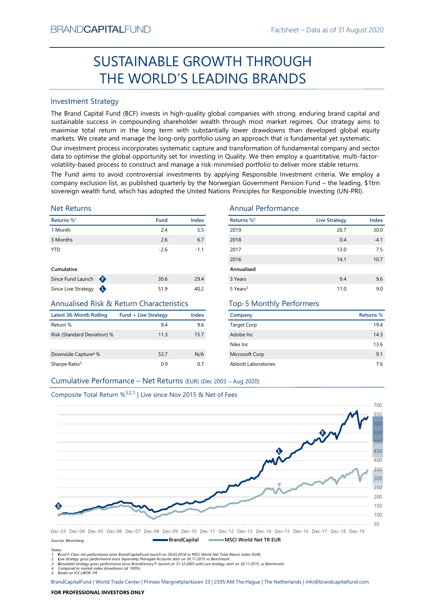# Factsheet – Data as of 31 August 2020<br>
COUGH SUSTAINABLE GROWTH THROUGH THE WORLD'S LEADING BRANDS

## Investment Strategy

From NDCAPTIALIFUND<br>
Facilities: - Usia as of 31 August 2020<br>
SUSTAINABLE GROWTH THROUGH<br>
THE WORLD'S LEADING BRANDS<br>
Investment Strategy<br>
The Brand Captible Turns in the long term with substantially global companies with SUSTAINABLE GROWTH THROUGH<br>
THE WORLD'S LEADING BRANDS<br>
Investment Strategy<br>
IThe Brand Gapital Fund (8CF) invests in high-quality global companies with strong, enduring brand capital and<br>
sustainable success in componing BRAND**CAPITAL**FUND<br>
SUSTAINABLE GROWTH THROUGH<br>
THE WORLD'S LEADING BRANDS<br>
Investment Strategy<br>
The Brand Capital Fund (BCF) invests in high-quality global companies with strong, enduring brand capital and<br>
sustainable su  $\begin{minipage}[t]{0.9\textwidth} \begin{tabular}{l} \textbf{BRANDCAPITALFUND} \end{tabular} \begin{tabular}{l} \textbf{SUGSTAINABLE GROWTH THROUGH} \end{tabular} \end{minipage} \begin{minipage}[t]{0.9\textwidth} \begin{tabular}{l} \textbf{SIRANDS} \end{tabular} \end{minipage} \begin{minipage}[t]{0.9\textwidth} \begin{tabular}{l} \textbf{SRANDS} \end{tabular} \end{minipage} \begin{minipage}[t]{0.9\textwidth} \begin{tabular}[t]{l} \textbf{SRANDS} \end{tabular} \end{minip$ EXANDCAPITALFUND<br>
Factsheet – Data as of 31 August 2020<br>
SUSTAINABLE GROWTH THROUGH<br>
THE WORLD'S LEADING BRANDS<br>
Investment Strategy<br>
The Brand Capital Fund (BCF) invests in high-quality global companies with strong, endur EXANDCAPITALFUND<br>
Factsheet – Data as of 31 August 2020<br>
SUSTAINABLE GROWTH THROUGH<br>
THE WORLD'S LEADING BRANDS<br>
Investment Strategy<br>
Investment Strategy<br>
Investment Strategy<br>
The Brand Capital Fund (BCF) invests in high-q BRAND**CAPITAL**FUND<br>
Factsheet – Data as of 31 August 2020<br>
SUSTAINABLE GROWTH THROUGH<br>
THE WORLD'S LEADING BRANDS<br>
Investment Strategy<br>
Investment Strategy<br>
Investment Strategy<br>
Investment Strategy<br>
starting (BCF) invests BRAND**CAPITAL**FUND<br>
SUSTAINABLE GROWTH THROUGH<br>
THE WORLD'S LEADING BRANDS<br>
Investment Strategy<br>
The Brand Capital Fund (BCF) invests in high-quality global companies with strong, enduring brand capital and<br>
The Brand Capi BRANDCAPITALFUND<br>
SUSTAINABLE GROWTH THROUGH<br>
THE WORLD'S LEADING BRANDS<br>
Investment Strategy<br>
The Brand Capital Fund (BCF) invests in high-quality global companies with strong, enduring brand capital and<br>
sustainable succ EXANDCAPITALFUND<br>
SUSTAINABLE GROWTH THROUGH<br>
THE WORLD'S LEADING BRANDS<br>
Investment Strategy<br>
Investment Strategy<br>
Investment Strategy<br>
Investment Strategy<br>
Sustainable success in compounding shareholder wealth through mo **EXAMDCAPITALFUND**<br> **COSTAINABLE GROWTH THROUGH**<br> **COSTAINABLE GROWTH THROUGH**<br> **THE WORLD'S LEADING BRANDS**<br>
Investment Strategy<br>
The Brand Capital Fund (BCF) invests in high-quality global companies with strong, endurin BRANDCAPITALFUND<br>
SUSTAINABLE GROWTH THROUGH<br>
THE WORLD'S LEADING BRANDS<br>
Investment Strategy<br>
Investment Strategy<br>
Investment Strategy<br>
Investment Strategy<br>
Sustainable success in compounding shareholder wealth funoupl m

## Net Returns

| Returns % <sup>1</sup> |   | <b>Fund</b> | <b>Index</b> |
|------------------------|---|-------------|--------------|
| 1 Month                |   | 2.4         | 5.5          |
| 3 Months               |   | 2.6         | 6.7          |
| <b>YTD</b>             |   | $-2.6$      | $-1.1$       |
| Cumulative             |   |             |              |
| Since Fund Launch      | ⊕ | 30.6        | 29.4         |

## Annualised Risk & Return Characteristics

| <b>Latest 36-Month Rolling</b>  | <b>Fund + Live Strategy</b> | Index |
|---------------------------------|-----------------------------|-------|
| Return %                        | 9.4                         | 9.6   |
| Risk (Standard Deviation) %     | 11.3                        | 15.7  |
| Downside Capture <sup>4</sup> % | 53.7                        | N/A   |
| Sharpe Ratio <sup>5</sup>       | በ ዓ                         | 07    |

## Annual Performance

| BRANU <b>UAPHAL</b> FUND                                                      |                             |                  |                                                                                                                                                                                                                                                                                                                                                                                                                                                                                                                                                                                                                                                                                                                                                                                                       | Factsheet – Data as of 31 August 2020 |           |
|-------------------------------------------------------------------------------|-----------------------------|------------------|-------------------------------------------------------------------------------------------------------------------------------------------------------------------------------------------------------------------------------------------------------------------------------------------------------------------------------------------------------------------------------------------------------------------------------------------------------------------------------------------------------------------------------------------------------------------------------------------------------------------------------------------------------------------------------------------------------------------------------------------------------------------------------------------------------|---------------------------------------|-----------|
|                                                                               |                             |                  | SUSTAINABLE GROWTH THROUGH                                                                                                                                                                                                                                                                                                                                                                                                                                                                                                                                                                                                                                                                                                                                                                            |                                       |           |
|                                                                               |                             |                  | THE WORLD'S LEADING BRANDS                                                                                                                                                                                                                                                                                                                                                                                                                                                                                                                                                                                                                                                                                                                                                                            |                                       |           |
| <b>Investment Strategy</b>                                                    |                             |                  |                                                                                                                                                                                                                                                                                                                                                                                                                                                                                                                                                                                                                                                                                                                                                                                                       |                                       |           |
|                                                                               |                             |                  | The Brand Capital Fund (BCF) invests in high-quality global companies with strong, enduring brand capital and<br>sustainable success in compounding shareholder wealth through most market regimes. Our strategy aims to<br>maximise total return in the long term with substantially lower drawdowns than developed global equity<br>markets. We create and manage the long-only portfolio using an approach that is fundamental yet systematic.<br>Our investment process incorporates systematic capture and transformation of fundamental company and sector<br>data to optimise the global opportunity set for investing in Quality. We then employ a quantitative, multi-factor-<br>volatility-based process to construct and manage a risk-minimised portfolio to deliver more stable returns. |                                       |           |
|                                                                               |                             |                  | The Fund aims to avoid controversial investments by applying Responsible Investment criteria. We employ a<br>company exclusion list, as published quarterly by the Norwegian Government Pension Fund - the leading, \$1trn<br>sovereign wealth fund, which has adopted the United Nations Principles for Responsible Investing (UN-PRI).                                                                                                                                                                                                                                                                                                                                                                                                                                                              |                                       |           |
| <b>Net Returns</b>                                                            |                             |                  | <b>Annual Performance</b>                                                                                                                                                                                                                                                                                                                                                                                                                                                                                                                                                                                                                                                                                                                                                                             |                                       |           |
| Returns % <sup>1</sup>                                                        | <b>Fund</b>                 | Index            | Returns % <sup>2</sup>                                                                                                                                                                                                                                                                                                                                                                                                                                                                                                                                                                                                                                                                                                                                                                                | <b>Live Strategy</b>                  | Index     |
| 1 Month                                                                       |                             | 2.4<br>5.5       | 2019                                                                                                                                                                                                                                                                                                                                                                                                                                                                                                                                                                                                                                                                                                                                                                                                  | 26.7                                  | 30.0      |
| 3 Months                                                                      |                             | 6.7<br>2.6       | 2018                                                                                                                                                                                                                                                                                                                                                                                                                                                                                                                                                                                                                                                                                                                                                                                                  | 0.4                                   | $-4.1$    |
| <b>YTD</b>                                                                    |                             | $-2.6$<br>$-1.1$ | 2017                                                                                                                                                                                                                                                                                                                                                                                                                                                                                                                                                                                                                                                                                                                                                                                                  | 13.0                                  | 7.5       |
|                                                                               |                             |                  | 2016                                                                                                                                                                                                                                                                                                                                                                                                                                                                                                                                                                                                                                                                                                                                                                                                  | 14.1                                  | 10.7      |
| Cumulative                                                                    |                             |                  | Annualised                                                                                                                                                                                                                                                                                                                                                                                                                                                                                                                                                                                                                                                                                                                                                                                            |                                       |           |
| Since Fund Launch $\bigoplus$                                                 |                             | 29.4<br>30.6     | 3 Years                                                                                                                                                                                                                                                                                                                                                                                                                                                                                                                                                                                                                                                                                                                                                                                               | 9.4                                   | 9.6       |
| Since Live Strategy $\bigoplus$                                               |                             | 51.9<br>40.2     | 5 Years <sup>3</sup>                                                                                                                                                                                                                                                                                                                                                                                                                                                                                                                                                                                                                                                                                                                                                                                  | 11.0                                  | 9.0       |
| <b>Annualised Risk &amp; Return Characteristics</b>                           |                             |                  | <b>Top-5 Monthly Performers</b>                                                                                                                                                                                                                                                                                                                                                                                                                                                                                                                                                                                                                                                                                                                                                                       |                                       |           |
| <b>Latest 36-Month Rolling</b>                                                | <b>Fund + Live Strategy</b> | <b>Index</b>     | Company                                                                                                                                                                                                                                                                                                                                                                                                                                                                                                                                                                                                                                                                                                                                                                                               |                                       | Returns % |
| Return %                                                                      |                             | 9.4<br>9.6       | <b>Target Corp</b>                                                                                                                                                                                                                                                                                                                                                                                                                                                                                                                                                                                                                                                                                                                                                                                    |                                       | 19.4      |
| Risk (Standard Deviation) %                                                   |                             | 15.7<br>11.3     | Adobe Inc                                                                                                                                                                                                                                                                                                                                                                                                                                                                                                                                                                                                                                                                                                                                                                                             |                                       | 14.3      |
|                                                                               |                             |                  | Nike Inc                                                                                                                                                                                                                                                                                                                                                                                                                                                                                                                                                                                                                                                                                                                                                                                              |                                       | 13.6      |
| Downside Capture <sup>4</sup> %                                               |                             | 53.7<br>N/A      | Microsoft Corp                                                                                                                                                                                                                                                                                                                                                                                                                                                                                                                                                                                                                                                                                                                                                                                        |                                       | 9.1       |
| Sharpe Ratio <sup>5</sup>                                                     |                             | 0.9<br>0.7       | Abbott Laboratories                                                                                                                                                                                                                                                                                                                                                                                                                                                                                                                                                                                                                                                                                                                                                                                   |                                       | $7.6$     |
| Cumulative Performance - Net Returns (EUR) (Dec 2003 - Aug 2020)              |                             |                  |                                                                                                                                                                                                                                                                                                                                                                                                                                                                                                                                                                                                                                                                                                                                                                                                       |                                       |           |
|                                                                               |                             |                  |                                                                                                                                                                                                                                                                                                                                                                                                                                                                                                                                                                                                                                                                                                                                                                                                       |                                       |           |
| Composite Total Return % <sup>3,2,1</sup>   Live since Nov 2015 & Net of Fees |                             |                  |                                                                                                                                                                                                                                                                                                                                                                                                                                                                                                                                                                                                                                                                                                                                                                                                       |                                       |           |
|                                                                               |                             |                  |                                                                                                                                                                                                                                                                                                                                                                                                                                                                                                                                                                                                                                                                                                                                                                                                       |                                       | 700       |
|                                                                               |                             |                  |                                                                                                                                                                                                                                                                                                                                                                                                                                                                                                                                                                                                                                                                                                                                                                                                       |                                       |           |
|                                                                               |                             |                  |                                                                                                                                                                                                                                                                                                                                                                                                                                                                                                                                                                                                                                                                                                                                                                                                       |                                       |           |

# Top-5 Monthly Performers

| Company             | Returns % |
|---------------------|-----------|
| <b>Target Corp</b>  | 19.4      |
| Adobe Inc.          | 14.3      |
| Nike Inc.           | 13.6      |
| Microsoft Corp      | 9.1       |
| Abbott Laboratories | 7.6       |





Notes: 1. Fund F-Class net performance since BrandCapitalFund launch on 26.03.2018 vs MSCI World Net Total Return Index (EUR).

2. Live strategy gross performance since Separately Managed Accounts start on 30.11.2015 vs Benchmark.<br>3. Simulated strategy gross performance since Brandirectory® launch on 31.12.2003 until Live strategy start on 30.11.20

5. Based on ICE LIBOR 1M.